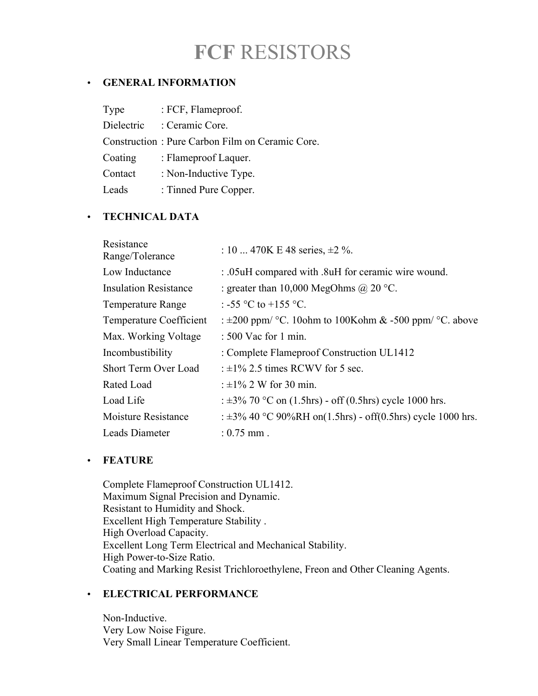# **FCF** RESISTORS

## • **GENERAL INFORMATION**

| Type       | : FCF, Flameproof.                              |
|------------|-------------------------------------------------|
| Dielectric | : Ceramic Core.                                 |
|            | Construction: Pure Carbon Film on Ceramic Core. |
| Coating    | : Flameproof Laquer.                            |
| Contact    | : Non-Inductive Type.                           |
| Leads      | : Tinned Pure Copper.                           |

## • **TECHNICAL DATA**

| Resistance<br>Range/Tolerance  | : 10  470K E 48 series, $\pm 2\%$ .                              |
|--------------------------------|------------------------------------------------------------------|
| Low Inductance                 | : .05uH compared with .8uH for ceramic wire wound.               |
| <b>Insulation Resistance</b>   | : greater than 10,000 MegOhms @ 20 °C.                           |
| <b>Temperature Range</b>       | : -55 °C to +155 °C.                                             |
| <b>Temperature Coefficient</b> | : $\pm 200$ ppm/ °C. 10ohm to 100Kohm & -500 ppm/ °C. above      |
| Max. Working Voltage           | : 500 Vac for 1 min.                                             |
| Incombustibility               | : Complete Flameproof Construction UL1412                        |
| Short Term Over Load           | : $\pm 1\%$ 2.5 times RCWV for 5 sec.                            |
| Rated Load                     | : $\pm 1\%$ 2 W for 30 min.                                      |
| Load Life                      | : $\pm 3\%$ 70 °C on (1.5hrs) - off (0.5hrs) cycle 1000 hrs.     |
| Moisture Resistance            | : $\pm 3\%$ 40 °C 90%RH on(1.5hrs) - off(0.5hrs) cycle 1000 hrs. |
| Leads Diameter                 | : $0.75$ mm.                                                     |

#### • **FEATURE**

Complete Flameproof Construction UL1412. Maximum Signal Precision and Dynamic. Resistant to Humidity and Shock. Excellent High Temperature Stability . High Overload Capacity. Excellent Long Term Electrical and Mechanical Stability. High Power-to-Size Ratio. Coating and Marking Resist Trichloroethylene, Freon and Other Cleaning Agents.

## • **ELECTRICAL PERFORMANCE**

Non-Inductive. Very Low Noise Figure. Very Small Linear Temperature Coefficient.